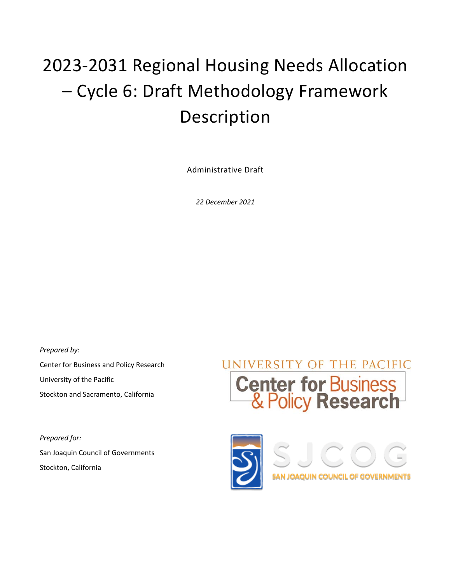# 2023-2031 Regional Housing Needs Allocation – Cycle 6: Draft Methodology Framework Description

Administrative Draft

*22 December 2021* 

*Prepared by*: Center for Business and Policy Research University of the Pacific Stockton and Sacramento, California

*Prepared for:* San Joaquin Council of Governments Stockton, California



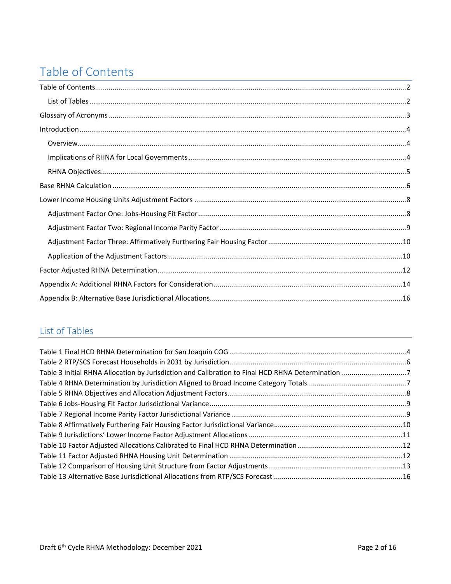# Table of Contents

# List of Tables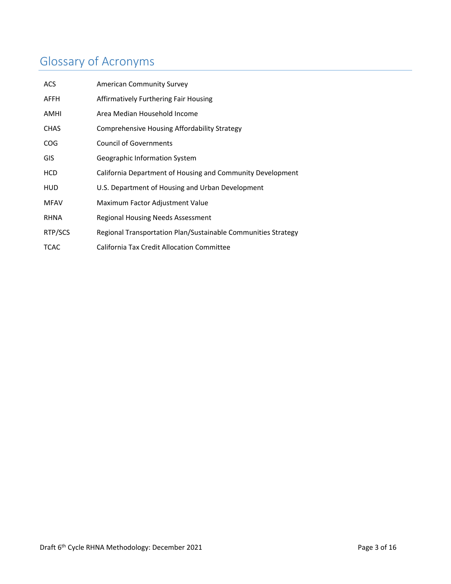# Glossary of Acronyms

| <b>ACS</b>  | <b>American Community Survey</b>                              |
|-------------|---------------------------------------------------------------|
| AFFH        | Affirmatively Furthering Fair Housing                         |
| <b>AMHI</b> | Area Median Household Income                                  |
| <b>CHAS</b> | Comprehensive Housing Affordability Strategy                  |
| <b>COG</b>  | <b>Council of Governments</b>                                 |
| GIS         | Geographic Information System                                 |
| <b>HCD</b>  | California Department of Housing and Community Development    |
| HUD         | U.S. Department of Housing and Urban Development              |
| <b>MFAV</b> | Maximum Factor Adjustment Value                               |
| <b>RHNA</b> | Regional Housing Needs Assessment                             |
| RTP/SCS     | Regional Transportation Plan/Sustainable Communities Strategy |
| <b>TCAC</b> | <b>California Tax Credit Allocation Committee</b>             |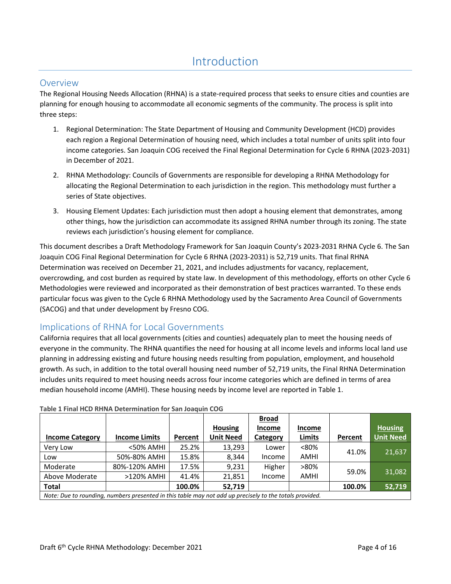# Introduction

### Overview

The Regional Housing Needs Allocation (RHNA) is a state-required process that seeks to ensure cities and counties are planning for enough housing to accommodate all economic segments of the community. The process is split into three steps:

- 1. Regional Determination: The State Department of Housing and Community Development (HCD) provides each region a Regional Determination of housing need, which includes a total number of units split into four income categories. San Joaquin COG received the Final Regional Determination for Cycle 6 RHNA (2023-2031) in December of 2021.
- 2. RHNA Methodology: Councils of Governments are responsible for developing a RHNA Methodology for allocating the Regional Determination to each jurisdiction in the region. This methodology must further a series of State objectives.
- 3. Housing Element Updates: Each jurisdiction must then adopt a housing element that demonstrates, among other things, how the jurisdiction can accommodate its assigned RHNA number through its zoning. The state reviews each jurisdiction's housing element for compliance.

This document describes a Draft Methodology Framework for San Joaquin County's 2023-2031 RHNA Cycle 6. The San Joaquin COG Final Regional Determination for Cycle 6 RHNA (2023-2031) is 52,719 units. That final RHNA Determination was received on December 21, 2021, and includes adjustments for vacancy, replacement, overcrowding, and cost burden as required by state law. In development of this methodology, efforts on other Cycle 6 Methodologies were reviewed and incorporated as their demonstration of best practices warranted. To these ends particular focus was given to the Cycle 6 RHNA Methodology used by the Sacramento Area Council of Governments (SACOG) and that under development by Fresno COG.

### Implications of RHNA for Local Governments

California requires that all local governments (cities and counties) adequately plan to meet the housing needs of everyone in the community. The RHNA quantifies the need for housing at all income levels and informs local land use planning in addressing existing and future housing needs resulting from population, employment, and household growth. As such, in addition to the total overall housing need number of 52,719 units, the Final RHNA Determination includes units required to meet housing needs across four income categories which are defined in terms of area median household income (AMHI). These housing needs by income level are reported in Table 1.

|                                                                                                         |                      |         |                  | <b>Broad</b> |               |         |                  |
|---------------------------------------------------------------------------------------------------------|----------------------|---------|------------------|--------------|---------------|---------|------------------|
|                                                                                                         |                      |         | <b>Housing</b>   | Income       | <b>Income</b> |         | <b>Housing</b>   |
| <b>Income Category</b>                                                                                  | <b>Income Limits</b> | Percent | <b>Unit Need</b> | Category     | <b>Limits</b> | Percent | <b>Unit Need</b> |
| Very Low                                                                                                | <50% AMHI            | 25.2%   | 13,293           | Lower        | $< 80\%$      | 41.0%   |                  |
| Low                                                                                                     | 50%-80% AMHI         | 15.8%   | 8.344            | Income       | <b>AMHI</b>   |         | 21,637           |
| Moderate                                                                                                | 80%-120% AMHI        | 17.5%   | 9,231            | Higher       | $>80\%$       | 59.0%   |                  |
| Above Moderate                                                                                          | >120% AMHI           | 41.4%   | 21.851           | Income       | <b>AMHI</b>   |         | 31,082           |
| <b>Total</b>                                                                                            |                      | 100.0%  | 52,719           |              |               | 100.0%  | 52,719           |
| Note: Due to rounding, numbers presented in this table may not add up precisely to the totals provided. |                      |         |                  |              |               |         |                  |

| Table 1 Final HCD RHNA Determination for San Joaquin COG |  |  |
|----------------------------------------------------------|--|--|
|----------------------------------------------------------|--|--|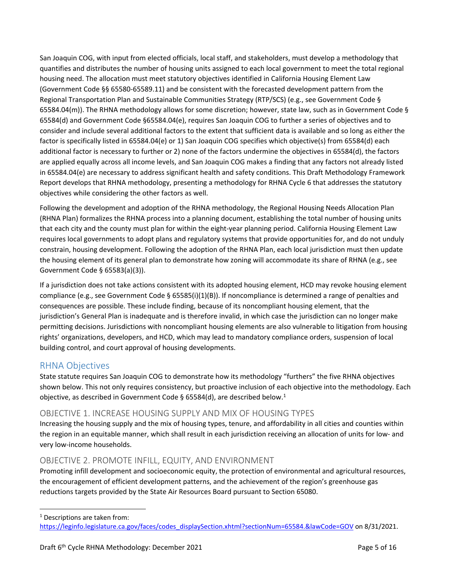San Joaquin COG, with input from elected officials, local staff, and stakeholders, must develop a methodology that quantifies and distributes the number of housing units assigned to each local government to meet the total regional housing need. The allocation must meet statutory objectives identified in California Housing Element Law (Government Code §§ 65580-65589.11) and be consistent with the forecasted development pattern from the Regional Transportation Plan and Sustainable Communities Strategy (RTP/SCS) (e.g., see Government Code § 65584.04(m)). The RHNA methodology allows for some discretion; however, state law, such as in Government Code § 65584(d) and Government Code §65584.04(e), requires San Joaquin COG to further a series of objectives and to consider and include several additional factors to the extent that sufficient data is available and so long as either the factor is specifically listed in 65584.04(e) or 1) San Joaquin COG specifies which objective(s) from 65584(d) each additional factor is necessary to further or 2) none of the factors undermine the objectives in 65584(d), the factors are applied equally across all income levels, and San Joaquin COG makes a finding that any factors not already listed in 65584.04(e) are necessary to address significant health and safety conditions. This Draft Methodology Framework Report develops that RHNA methodology, presenting a methodology for RHNA Cycle 6 that addresses the statutory objectives while considering the other factors as well.

Following the development and adoption of the RHNA methodology, the Regional Housing Needs Allocation Plan (RHNA Plan) formalizes the RHNA process into a planning document, establishing the total number of housing units that each city and the county must plan for within the eight-year planning period. California Housing Element Law requires local governments to adopt plans and regulatory systems that provide opportunities for, and do not unduly constrain, housing development. Following the adoption of the RHNA Plan, each local jurisdiction must then update the housing element of its general plan to demonstrate how zoning will accommodate its share of RHNA (e.g., see Government Code § 65583(a)(3)).

If a jurisdiction does not take actions consistent with its adopted housing element, HCD may revoke housing element compliance (e.g., see Government Code § 65585(i)(1)(B)). If noncompliance is determined a range of penalties and consequences are possible. These include finding, because of its noncompliant housing element, that the jurisdiction's General Plan is inadequate and is therefore invalid, in which case the jurisdiction can no longer make permitting decisions. Jurisdictions with noncompliant housing elements are also vulnerable to litigation from housing rights' organizations, developers, and HCD, which may lead to mandatory compliance orders, suspension of local building control, and court approval of housing developments.

### RHNA Objectives

State statute requires San Joaquin COG to demonstrate how its methodology "furthers" the five RHNA objectives shown below. This not only requires consistency, but proactive inclusion of each objective into the methodology. Each objective, as described in Government Code § 65584(d), are described below.<sup>1</sup>

### OBJECTIVE 1. INCREASE HOUSING SUPPLY AND MIX OF HOUSING TYPES

Increasing the housing supply and the mix of housing types, tenure, and affordability in all cities and counties within the region in an equitable manner, which shall result in each jurisdiction receiving an allocation of units for low- and very low-income households.

### OBJECTIVE 2. PROMOTE INFILL, EQUITY, AND ENVIRONMENT

Promoting infill development and socioeconomic equity, the protection of environmental and agricultural resources, the encouragement of efficient development patterns, and the achievement of the region's greenhouse gas reductions targets provided by the State Air Resources Board pursuant to Section 65080.

<sup>1</sup> Descriptions are taken from:

https://leginfo.legislature.ca.gov/faces/codes\_displaySection.xhtml?sectionNum=65584.&lawCode=GOV on 8/31/2021.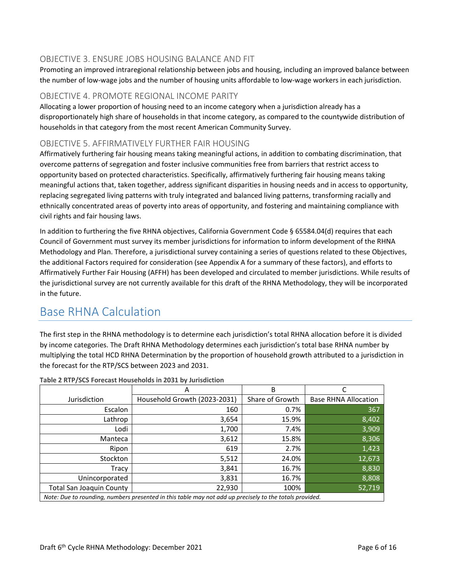### OBJECTIVE 3. ENSURE JOBS HOUSING BALANCE AND FIT

Promoting an improved intraregional relationship between jobs and housing, including an improved balance between the number of low-wage jobs and the number of housing units affordable to low-wage workers in each jurisdiction.

#### OBJECTIVE 4. PROMOTE REGIONAL INCOME PARITY

Allocating a lower proportion of housing need to an income category when a jurisdiction already has a disproportionately high share of households in that income category, as compared to the countywide distribution of households in that category from the most recent American Community Survey.

### OBJECTIVE 5. AFFIRMATIVELY FURTHER FAIR HOUSING

Affirmatively furthering fair housing means taking meaningful actions, in addition to combating discrimination, that overcome patterns of segregation and foster inclusive communities free from barriers that restrict access to opportunity based on protected characteristics. Specifically, affirmatively furthering fair housing means taking meaningful actions that, taken together, address significant disparities in housing needs and in access to opportunity, replacing segregated living patterns with truly integrated and balanced living patterns, transforming racially and ethnically concentrated areas of poverty into areas of opportunity, and fostering and maintaining compliance with civil rights and fair housing laws.

In addition to furthering the five RHNA objectives, California Government Code § 65584.04(d) requires that each Council of Government must survey its member jurisdictions for information to inform development of the RHNA Methodology and Plan. Therefore, a jurisdictional survey containing a series of questions related to these Objectives, the additional Factors required for consideration (see Appendix A for a summary of these factors), and efforts to Affirmatively Further Fair Housing (AFFH) has been developed and circulated to member jurisdictions. While results of the jurisdictional survey are not currently available for this draft of the RHNA Methodology, they will be incorporated in the future.

# Base RHNA Calculation

The first step in the RHNA methodology is to determine each jurisdiction's total RHNA allocation before it is divided by income categories. The Draft RHNA Methodology determines each jurisdiction's total base RHNA number by multiplying the total HCD RHNA Determination by the proportion of household growth attributed to a jurisdiction in the forecast for the RTP/SCS between 2023 and 2031.

|                                 | A                                                                                                       | B               |                             |
|---------------------------------|---------------------------------------------------------------------------------------------------------|-----------------|-----------------------------|
| Jurisdiction                    | Household Growth (2023-2031)                                                                            | Share of Growth | <b>Base RHNA Allocation</b> |
| Escalon                         | 160                                                                                                     | 0.7%            | 367                         |
| Lathrop                         | 3,654                                                                                                   | 15.9%           | 8,402                       |
| Lodi                            | 1,700                                                                                                   | 7.4%            | 3,909                       |
| Manteca                         | 3,612                                                                                                   | 15.8%           | 8,306                       |
| Ripon                           | 619                                                                                                     | 2.7%            | 1,423                       |
| Stockton                        | 5,512                                                                                                   | 24.0%           | 12,673                      |
| Tracy                           | 3,841                                                                                                   | 16.7%           | 8,830                       |
| Unincorporated                  | 3,831                                                                                                   | 16.7%           | 8,808                       |
| <b>Total San Joaquin County</b> | 22,930                                                                                                  | 100%            | 52,719                      |
|                                 | Note: Due to rounding, numbers presented in this table may not add up precisely to the totals provided. |                 |                             |

**Table 2 RTP/SCS Forecast Households in 2031 by Jurisdiction**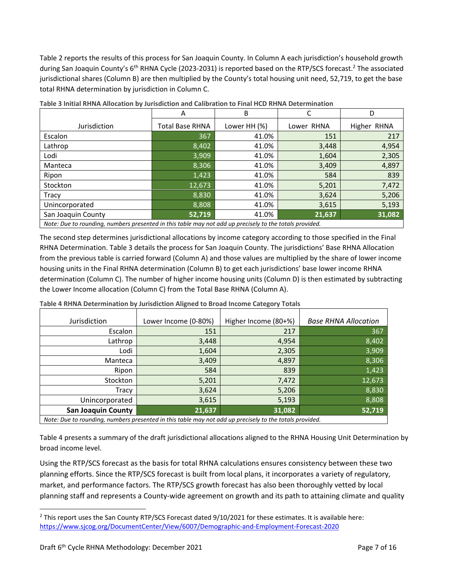Table 2 reports the results of this process for San Joaquin County. In Column A each jurisdiction's household growth during San Joaquin County's 6<sup>th</sup> RHNA Cycle (2023-2031) is reported based on the RTP/SCS forecast.<sup>2</sup> The associated jurisdictional shares (Column B) are then multiplied by the County's total housing unit need, 52,719, to get the base total RHNA determination by jurisdiction in Column C.

|                                                                                                         | A               | B            |            | D           |  |  |
|---------------------------------------------------------------------------------------------------------|-----------------|--------------|------------|-------------|--|--|
| Jurisdiction                                                                                            | Total Base RHNA | Lower HH (%) | Lower RHNA | Higher RHNA |  |  |
| Escalon                                                                                                 | 367             | 41.0%        | 151        | 217         |  |  |
| Lathrop                                                                                                 | 8,402           | 41.0%        | 3,448      | 4,954       |  |  |
| Lodi                                                                                                    | 3,909           | 41.0%        | 1,604      | 2,305       |  |  |
| Manteca                                                                                                 | 8,306           | 41.0%        | 3,409      | 4,897       |  |  |
| Ripon                                                                                                   | 1,423           | 41.0%        | 584        | 839         |  |  |
| Stockton                                                                                                | 12,673          | 41.0%        | 5,201      | 7,472       |  |  |
| Tracy                                                                                                   | 8,830           | 41.0%        | 3,624      | 5,206       |  |  |
| Unincorporated                                                                                          | 8,808           | 41.0%        | 3,615      | 5,193       |  |  |
| San Joaquin County                                                                                      | 52,719          | 41.0%        | 21,637     | 31,082      |  |  |
| Nata: Dua ta samadian, susabasa ssaanstad in this table samunat adduse ssaaigab ta tha tatala ssa. idad |                 |              |            |             |  |  |

**Table 3 Initial RHNA Allocation by Jurisdiction and Calibration to Final HCD RHNA Determination** 

*Note: Due to rounding, numbers presented in this table may not add up precisely to the totals provided.*

The second step determines jurisdictional allocations by income category according to those specified in the Final RHNA Determination. Table 3 details the process for San Joaquin County. The jurisdictions' Base RHNA Allocation from the previous table is carried forward (Column A) and those values are multiplied by the share of lower income housing units in the Final RHNA determination (Column B) to get each jurisdictions' base lower income RHNA determination (Column C). The number of higher income housing units (Column D) is then estimated by subtracting the Lower Income allocation (Column C) from the Total Base RHNA (Column A).

**Table 4 RHNA Determination by Jurisdiction Aligned to Broad Income Category Totals** 

| Jurisdiction                                                                                            | Lower Income (0-80%) | Higher Income (80+%) | <b>Base RHNA Allocation</b> |  |  |
|---------------------------------------------------------------------------------------------------------|----------------------|----------------------|-----------------------------|--|--|
| Escalon                                                                                                 | 151                  | 217                  | 367                         |  |  |
| Lathrop                                                                                                 | 3,448                | 4,954                | 8,402                       |  |  |
| Lodi                                                                                                    | 1,604                | 2,305                | 3,909                       |  |  |
| Manteca                                                                                                 | 3,409                | 4,897                | 8,306                       |  |  |
| Ripon                                                                                                   | 584                  | 839                  | 1,423                       |  |  |
| Stockton                                                                                                | 5,201                | 7,472                | 12,673                      |  |  |
| Tracy                                                                                                   | 3,624                | 5,206                | 8,830                       |  |  |
| Unincorporated                                                                                          | 3,615                | 5,193                | 8,808                       |  |  |
| <b>San Joaquin County</b>                                                                               | 21,637               | 31,082               | 52,719                      |  |  |
| Note: Due to rounding, numbers presented in this table may not add up precisely to the totals provided. |                      |                      |                             |  |  |

*Note: Due to rounding, numbers presented in this table may not add up precisely to the totals provided.*

Table 4 presents a summary of the draft jurisdictional allocations aligned to the RHNA Housing Unit Determination by broad income level.

Using the RTP/SCS forecast as the basis for total RHNA calculations ensures consistency between these two planning efforts. Since the RTP/SCS forecast is built from local plans, it incorporates a variety of regulatory, market, and performance factors. The RTP/SCS growth forecast has also been thoroughly vetted by local planning staff and represents a County-wide agreement on growth and its path to attaining climate and quality

 $^2$  This report uses the San County RTP/SCS Forecast dated 9/10/2021 for these estimates. It is available here: https://www.sjcog.org/DocumentCenter/View/6007/Demographic-and-Employment-Forecast-2020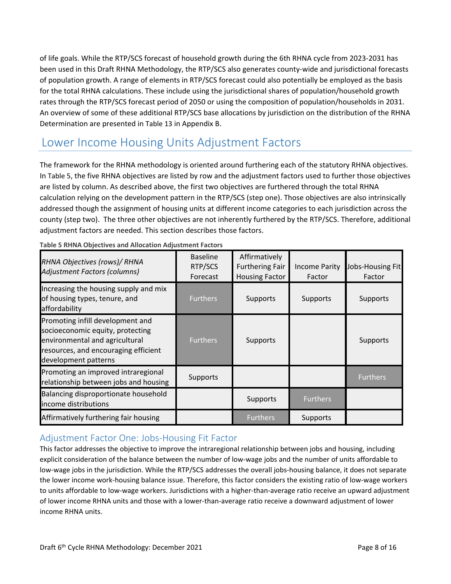of life goals. While the RTP/SCS forecast of household growth during the 6th RHNA cycle from 2023-2031 has been used in this Draft RHNA Methodology, the RTP/SCS also generates county-wide and jurisdictional forecasts of population growth. A range of elements in RTP/SCS forecast could also potentially be employed as the basis for the total RHNA calculations. These include using the jurisdictional shares of population/household growth rates through the RTP/SCS forecast period of 2050 or using the composition of population/households in 2031. An overview of some of these additional RTP/SCS base allocations by jurisdiction on the distribution of the RHNA Determination are presented in Table 13 in Appendix B.

# Lower Income Housing Units Adjustment Factors

The framework for the RHNA methodology is oriented around furthering each of the statutory RHNA objectives. In Table 5, the five RHNA objectives are listed by row and the adjustment factors used to further those objectives are listed by column. As described above, the first two objectives are furthered through the total RHNA calculation relying on the development pattern in the RTP/SCS (step one). Those objectives are also intrinsically addressed though the assignment of housing units at different income categories to each jurisdiction across the county (step two). The three other objectives are not inherently furthered by the RTP/SCS. Therefore, additional adjustment factors are needed. This section describes those factors.

| RHNA Objectives (rows)/ RHNA<br>Adjustment Factors (columns)                                                                                                           | <b>Baseline</b><br>RTP/SCS<br>Forecast | Affirmatively<br><b>Furthering Fair</b><br><b>Housing Factor</b> | <b>Income Parity</b><br>Factor | Jobs-Housing Fit<br>Factor |
|------------------------------------------------------------------------------------------------------------------------------------------------------------------------|----------------------------------------|------------------------------------------------------------------|--------------------------------|----------------------------|
| Increasing the housing supply and mix<br>of housing types, tenure, and<br>affordability                                                                                | <b>Furthers</b>                        | Supports                                                         | Supports                       | Supports                   |
| Promoting infill development and<br>socioeconomic equity, protecting<br>environmental and agricultural<br>resources, and encouraging efficient<br>development patterns | <b>Furthers</b>                        | Supports                                                         |                                | Supports                   |
| Promoting an improved intraregional<br>relationship between jobs and housing                                                                                           | Supports                               |                                                                  |                                | <b>Furthers</b>            |
| Balancing disproportionate household<br>income distributions                                                                                                           |                                        | Supports                                                         | <b>Furthers</b>                |                            |
| Affirmatively furthering fair housing                                                                                                                                  |                                        | <b>Furthers</b>                                                  | Supports                       |                            |

**Table 5 RHNA Objectives and Allocation Adjustment Factors** 

### Adjustment Factor One: Jobs‐Housing Fit Factor

This factor addresses the objective to improve the intraregional relationship between jobs and housing, including explicit consideration of the balance between the number of low-wage jobs and the number of units affordable to low-wage jobs in the jurisdiction. While the RTP/SCS addresses the overall jobs-housing balance, it does not separate the lower income work-housing balance issue. Therefore, this factor considers the existing ratio of low-wage workers to units affordable to low-wage workers. Jurisdictions with a higher-than-average ratio receive an upward adjustment of lower income RHNA units and those with a lower-than-average ratio receive a downward adjustment of lower income RHNA units.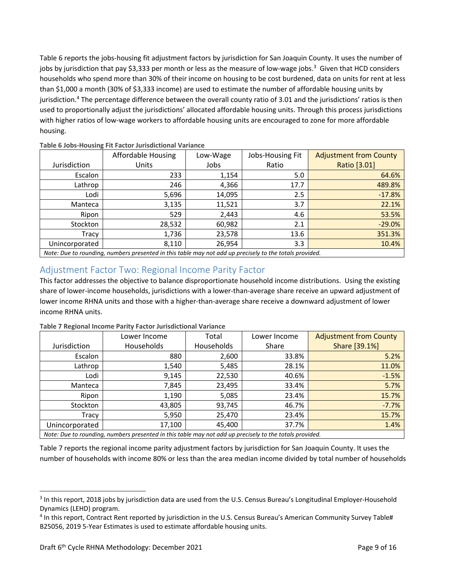Table 6 reports the jobs-housing fit adjustment factors by jurisdiction for San Joaquin County. It uses the number of jobs by jurisdiction that pay \$3,333 per month or less as the measure of low-wage jobs.<sup>3</sup> Given that HCD considers households who spend more than 30% of their income on housing to be cost burdened, data on units for rent at less than \$1,000 a month (30% of \$3,333 income) are used to estimate the number of affordable housing units by jurisdiction.<sup>4</sup> The percentage difference between the overall county ratio of 3.01 and the jurisdictions' ratios is then used to proportionally adjust the jurisdictions' allocated affordable housing units. Through this process jurisdictions with higher ratios of low-wage workers to affordable housing units are encouraged to zone for more affordable housing.

|                                                                                                         | Affordable Housing | Low-Wage | Jobs-Housing Fit | <b>Adjustment from County</b> |  |
|---------------------------------------------------------------------------------------------------------|--------------------|----------|------------------|-------------------------------|--|
| Jurisdiction                                                                                            | <b>Units</b>       | Jobs     | Ratio            | Ratio [3.01]                  |  |
| Escalon                                                                                                 | 233                | 1,154    | 5.0              | 64.6%                         |  |
| Lathrop                                                                                                 | 246                | 4,366    | 17.7             | 489.8%                        |  |
| Lodi                                                                                                    | 5,696              | 14,095   | 2.5              | $-17.8%$                      |  |
| Manteca                                                                                                 | 3,135              | 11,521   | 3.7              | 22.1%                         |  |
| Ripon                                                                                                   | 529                | 2,443    | 4.6              | 53.5%                         |  |
| Stockton                                                                                                | 28,532             | 60,982   | 2.1              | $-29.0%$                      |  |
| Tracy                                                                                                   | 1,736              | 23,578   | 13.6             | 351.3%                        |  |
| Unincorporated                                                                                          | 8,110              | 26,954   | 3.3              | 10.4%                         |  |
| Note: Due to rounding, numbers presented in this table may not add up precisely to the totals provided. |                    |          |                  |                               |  |

**Table 6 Jobs‐Housing Fit Factor Jurisdictional Variance** 

### Adjustment Factor Two: Regional Income Parity Factor

This factor addresses the objective to balance disproportionate household income distributions. Using the existing share of lower-income households, jurisdictions with a lower-than-average share receive an upward adjustment of lower income RHNA units and those with a higher-than-average share receive a downward adjustment of lower income RHNA units.

|                                                                                                         | Lower Income | Total      | Lower Income | <b>Adjustment from County</b> |
|---------------------------------------------------------------------------------------------------------|--------------|------------|--------------|-------------------------------|
| Jurisdiction                                                                                            | Households   | Households | Share        | Share [39.1%]                 |
| Escalon                                                                                                 | 880          | 2,600      | 33.8%        | 5.2%                          |
| Lathrop                                                                                                 | 1,540        | 5,485      | 28.1%        | 11.0%                         |
| Lodi                                                                                                    | 9,145        | 22,530     | 40.6%        | $-1.5%$                       |
| Manteca                                                                                                 | 7,845        | 23,495     | 33.4%        | 5.7%                          |
| Ripon                                                                                                   | 1,190        | 5,085      | 23.4%        | 15.7%                         |
| Stockton                                                                                                | 43,805       | 93,745     | 46.7%        | $-7.7%$                       |
| Tracy                                                                                                   | 5,950        | 25,470     | 23.4%        | 15.7%                         |
| Unincorporated                                                                                          | 17,100       | 45,400     | 37.7%        | 1.4%                          |
| Note: Due to rounding, numbers presented in this table may not add up precisely to the totals provided. |              |            |              |                               |

**Table 7 Regional Income Parity Factor Jurisdictional Variance** 

Table 7 reports the regional income parity adjustment factors by jurisdiction for San Joaquin County. It uses the number of households with income 80% or less than the area median income divided by total number of households

<sup>&</sup>lt;sup>3</sup> In this report, 2018 jobs by jurisdiction data are used from the U.S. Census Bureau's Longitudinal Employer-Household Dynamics (LEHD) program.

<sup>&</sup>lt;sup>4</sup> In this report, Contract Rent reported by jurisdiction in the U.S. Census Bureau's American Community Survey Table# B25056, 2019 5-Year Estimates is used to estimate affordable housing units.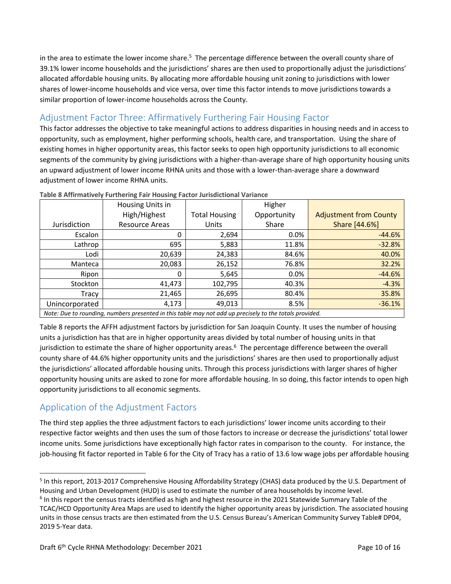in the area to estimate the lower income share.<sup>5</sup> The percentage difference between the overall county share of 39.1% lower income households and the jurisdictions' shares are then used to proportionally adjust the jurisdictions' allocated affordable housing units. By allocating more affordable housing unit zoning to jurisdictions with lower shares of lower-income households and vice versa, over time this factor intends to move jurisdictions towards a similar proportion of lower-income households across the County.

### Adjustment Factor Three: Affirmatively Furthering Fair Housing Factor

This factor addresses the objective to take meaningful actions to address disparities in housing needs and in access to opportunity, such as employment, higher performing schools, health care, and transportation. Using the share of existing homes in higher opportunity areas, this factor seeks to open high opportunity jurisdictions to all economic segments of the community by giving jurisdictions with a higher-than-average share of high opportunity housing units an upward adjustment of lower income RHNA units and those with a lower-than-average share a downward adjustment of lower income RHNA units.

|                                                                                                         | Housing Units in |                      | Higher      |                               |  |
|---------------------------------------------------------------------------------------------------------|------------------|----------------------|-------------|-------------------------------|--|
|                                                                                                         | High/Highest     | <b>Total Housing</b> | Opportunity | <b>Adjustment from County</b> |  |
| Jurisdiction                                                                                            | Resource Areas   | <b>Units</b>         | Share       | Share [44.6%]                 |  |
| Escalon                                                                                                 | 0                | 2,694                | 0.0%        | $-44.6%$                      |  |
| Lathrop                                                                                                 | 695              | 5,883                | 11.8%       | $-32.8%$                      |  |
| Lodi                                                                                                    | 20,639           | 24,383               | 84.6%       | 40.0%                         |  |
| Manteca                                                                                                 | 20,083           | 26,152               | 76.8%       | 32.2%                         |  |
| Ripon                                                                                                   | 0                | 5,645                | 0.0%        | $-44.6%$                      |  |
| Stockton                                                                                                | 41,473           | 102,795              | 40.3%       | $-4.3%$                       |  |
| Tracy                                                                                                   | 21,465           | 26,695               | 80.4%       | 35.8%                         |  |
| Unincorporated                                                                                          | 4,173            | 49,013               | 8.5%        | $-36.1%$                      |  |
| Note: Due to rounding, numbers presented in this table may not add up precisely to the totals provided. |                  |                      |             |                               |  |

**Table 8 Affirmatively Furthering Fair Housing Factor Jurisdictional Variance** 

Table 8 reports the AFFH adjustment factors by jurisdiction for San Joaquin County. It uses the number of housing units a jurisdiction has that are in higher opportunity areas divided by total number of housing units in that jurisdiction to estimate the share of higher opportunity areas.<sup>6</sup> The percentage difference between the overall county share of 44.6% higher opportunity units and the jurisdictions' shares are then used to proportionally adjust the jurisdictions' allocated affordable housing units. Through this process jurisdictions with larger shares of higher opportunity housing units are asked to zone for more affordable housing. In so doing, this factor intends to open high opportunity jurisdictions to all economic segments.

## Application of the Adjustment Factors

The third step applies the three adjustment factors to each jurisdictions' lower income units according to their respective factor weights and then uses the sum of those factors to increase or decrease the jurisdictions' total lower income units. Some jurisdictions have exceptionally high factor rates in comparison to the county. For instance, the job-housing fit factor reported in Table 6 for the City of Tracy has a ratio of 13.6 low wage jobs per affordable housing

<sup>&</sup>lt;sup>5</sup> In this report, 2013-2017 Comprehensive Housing Affordability Strategy (CHAS) data produced by the U.S. Department of Housing and Urban Development (HUD) is used to estimate the number of area households by income level.

<sup>&</sup>lt;sup>6</sup> In this report the census tracts identified as high and highest resource in the 2021 Statewide Summary Table of the TCAC/HCD Opportunity Area Maps are used to identify the higher opportunity areas by jurisdiction. The associated housing units in those census tracts are then estimated from the U.S. Census Bureau's American Community Survey Table# DP04, 2019 5-Year data.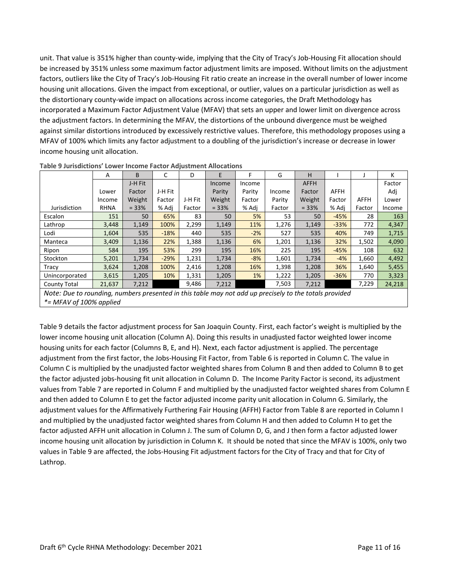unit. That value is 351% higher than county-wide, implying that the City of Tracy's Job-Housing Fit allocation should be increased by 351% unless some maximum factor adjustment limits are imposed. Without limits on the adjustment factors, outliers like the City of Tracy's Job-Housing Fit ratio create an increase in the overall number of lower income housing unit allocations. Given the impact from exceptional, or outlier, values on a particular jurisdiction as well as the distortionary county-wide impact on allocations across income categories, the Draft Methodology has incorporated a Maximum Factor Adjustment Value (MFAV) that sets an upper and lower limit on divergence across the adjustment factors. In determining the MFAV, the distortions of the unbound divergence must be weighed against similar distortions introduced by excessively restrictive values. Therefore, this methodology proposes using a MFAV of 100% which limits any factor adjustment to a doubling of the jurisdiction's increase or decrease in lower income housing unit allocation.

|                                                                                                        | A           | B       | C       | D       | E       | F      | G      | н           |             |             | К      |
|--------------------------------------------------------------------------------------------------------|-------------|---------|---------|---------|---------|--------|--------|-------------|-------------|-------------|--------|
|                                                                                                        |             | J-H Fit |         |         | Income  | Income |        | <b>AFFH</b> |             |             | Factor |
|                                                                                                        | Lower       | Factor  | J-H Fit |         | Parity  | Parity | Income | Factor      | <b>AFFH</b> |             | Adj    |
|                                                                                                        | Income      | Weight  | Factor  | J-H Fit | Weight  | Factor | Parity | Weight      | Factor      | <b>AFFH</b> | Lower  |
| Jurisdiction                                                                                           | <b>RHNA</b> | $= 33%$ | % Adj   | Factor  | $= 33%$ | % Adj  | Factor | $= 33%$     | % Adj       | Factor      | Income |
| Escalon                                                                                                | 151         | 50      | 65%     | 83      | 50      | 5%     | 53     | 50          | $-45%$      | 28          | 163    |
| Lathrop                                                                                                | 3,448       | 1,149   | 100%    | 2,299   | 1,149   | 11%    | 1,276  | 1,149       | $-33%$      | 772         | 4,347  |
| Lodi                                                                                                   | 1,604       | 535     | $-18%$  | 440     | 535     | $-2%$  | 527    | 535         | 40%         | 749         | 1,715  |
| Manteca                                                                                                | 3,409       | 1,136   | 22%     | 1,388   | 1,136   | 6%     | 1,201  | 1,136       | 32%         | 1,502       | 4,090  |
| Ripon                                                                                                  | 584         | 195     | 53%     | 299     | 195     | 16%    | 225    | 195         | $-45%$      | 108         | 632    |
| Stockton                                                                                               | 5,201       | 1,734   | $-29%$  | 1,231   | 1,734   | $-8%$  | 1,601  | 1,734       | $-4%$       | 1,660       | 4,492  |
| Tracy                                                                                                  | 3,624       | 1,208   | 100%    | 2,416   | 1,208   | 16%    | 1,398  | 1,208       | 36%         | 1,640       | 5,455  |
| Unincorporated                                                                                         | 3,615       | 1,205   | 10%     | 1,331   | 1,205   | 1%     | 1,222  | 1,205       | $-36%$      | 770         | 3,323  |
| County Total                                                                                           | 21,637      | 7,212   |         | 9,486   | 7,212   |        | 7,503  | 7,212       |             | 7.229       | 24,218 |
| Note: Due to rounding, numbers presented in this table may not add up precisely to the totals provided |             |         |         |         |         |        |        |             |             |             |        |

**Table 9 Jurisdictions' Lower Income Factor Adjustment Allocations** 

*Note: Due to rounding, numbers presented in this table may not add up precisely to the totals provided \*= MFAV of 100% applied* 

Table 9 details the factor adjustment process for San Joaquin County. First, each factor's weight is multiplied by the lower income housing unit allocation (Column A). Doing this results in unadjusted factor weighted lower income housing units for each factor (Columns B, E, and H). Next, each factor adjustment is applied. The percentage adjustment from the first factor, the Jobs-Housing Fit Factor, from Table 6 is reported in Column C. The value in Column C is multiplied by the unadjusted factor weighted shares from Column B and then added to Column B to get the factor adjusted jobs-housing fit unit allocation in Column D. The Income Parity Factor is second, its adjustment values from Table 7 are reported in Column F and multiplied by the unadjusted factor weighted shares from Column E and then added to Column E to get the factor adjusted income parity unit allocation in Column G. Similarly, the adjustment values for the Affirmatively Furthering Fair Housing (AFFH) Factor from Table 8 are reported in Column I and multiplied by the unadjusted factor weighted shares from Column H and then added to Column H to get the factor adjusted AFFH unit allocation in Column J. The sum of Column D, G, and J then form a factor adjusted lower income housing unit allocation by jurisdiction in Column K. It should be noted that since the MFAV is 100%, only two values in Table 9 are affected, the Jobs-Housing Fit adjustment factors for the City of Tracy and that for City of Lathrop.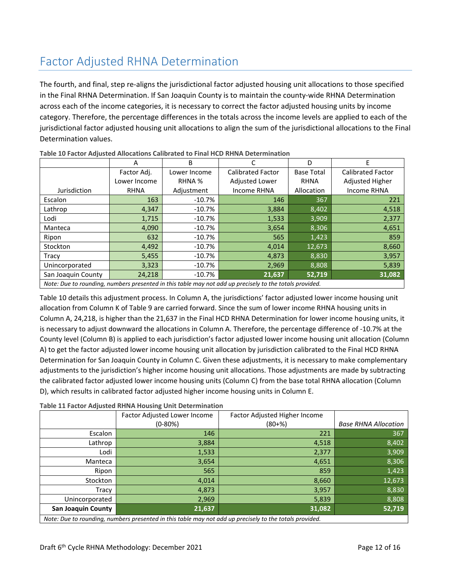# Factor Adjusted RHNA Determination

The fourth, and final, step re-aligns the jurisdictional factor adjusted housing unit allocations to those specified in the Final RHNA Determination. If San Joaquin County is to maintain the county-wide RHNA Determination across each of the income categories, it is necessary to correct the factor adjusted housing units by income category. Therefore, the percentage differences in the totals across the income levels are applied to each of the jurisdictional factor adjusted housing unit allocations to align the sum of the jurisdictional allocations to the Final Determination values.

|                                                                                                        | А            | B            |                          | D                 |                          |  |  |
|--------------------------------------------------------------------------------------------------------|--------------|--------------|--------------------------|-------------------|--------------------------|--|--|
|                                                                                                        | Factor Adj.  | Lower Income | <b>Calibrated Factor</b> | <b>Base Total</b> | <b>Calibrated Factor</b> |  |  |
|                                                                                                        | Lower Income | RHNA %       | Adjusted Lower           | <b>RHNA</b>       | Adjusted Higher          |  |  |
| Jurisdiction                                                                                           | <b>RHNA</b>  | Adjustment   | <b>Income RHNA</b>       | Allocation        | Income RHNA              |  |  |
| Escalon                                                                                                | 163          | $-10.7%$     | 146                      | 367               | 221                      |  |  |
| Lathrop                                                                                                | 4,347        | $-10.7%$     | 3,884                    | 8,402             | 4,518                    |  |  |
| Lodi                                                                                                   | 1,715        | $-10.7%$     | 1,533                    | 3,909             | 2,377                    |  |  |
| Manteca                                                                                                | 4,090        | $-10.7%$     | 3,654                    | 8,306             | 4,651                    |  |  |
| Ripon                                                                                                  | 632          | $-10.7%$     | 565                      | 1,423             | 859                      |  |  |
| Stockton                                                                                               | 4,492        | $-10.7%$     | 4.014                    | 12,673            | 8,660                    |  |  |
| Tracy                                                                                                  | 5,455        | $-10.7%$     | 4,873                    | 8,830             | 3,957                    |  |  |
| Unincorporated                                                                                         | 3,323        | $-10.7%$     | 2,969                    | 8,808             | 5,839                    |  |  |
| San Joaquin County                                                                                     | 24,218       | $-10.7%$     | 21,637                   | 52,719            | 31,082                   |  |  |
| Note: Due to rounding, numbers presented in this table may not add un precisely to the totals provided |              |              |                          |                   |                          |  |  |

**Table 10 Factor Adjusted Allocations Calibrated to Final HCD RHNA Determination** 

*Note: Due to rounding, numbers presented in this table may not add up precisely to the totals provided.*

Table 10 details this adjustment process. In Column A, the jurisdictions' factor adjusted lower income housing unit allocation from Column K of Table 9 are carried forward. Since the sum of lower income RHNA housing units in Column A, 24,218, is higher than the 21,637 in the Final HCD RHNA Determination for lower income housing units, it is necessary to adjust downward the allocations in Column A. Therefore, the percentage difference of -10.7% at the County level (Column B) is applied to each jurisdiction's factor adjusted lower income housing unit allocation (Column A) to get the factor adjusted lower income housing unit allocation by jurisdiction calibrated to the Final HCD RHNA Determination for San Joaquin County in Column C. Given these adjustments, it is necessary to make complementary adjustments to the jurisdiction's higher income housing unit allocations. Those adjustments are made by subtracting the calibrated factor adjusted lower income housing units (Column C) from the base total RHNA allocation (Column D), which results in calibrated factor adjusted higher income housing units in Column E.

|  | Table 11 Factor Adjusted RHNA Housing Unit Determination |  |  |
|--|----------------------------------------------------------|--|--|
|--|----------------------------------------------------------|--|--|

|                                                                                                         | Factor Adjusted Lower Income | Factor Adjusted Higher Income |                             |  |  |  |  |
|---------------------------------------------------------------------------------------------------------|------------------------------|-------------------------------|-----------------------------|--|--|--|--|
|                                                                                                         | $(0-80%)$                    | $(80 + %)$                    | <b>Base RHNA Allocation</b> |  |  |  |  |
| Escalon                                                                                                 | 146                          | 221                           | 367                         |  |  |  |  |
| Lathrop                                                                                                 | 3,884                        | 4,518                         | 8,402                       |  |  |  |  |
| Lodi                                                                                                    | 1,533                        | 2,377                         | 3,909                       |  |  |  |  |
| Manteca                                                                                                 | 3,654                        | 4,651                         | 8,306                       |  |  |  |  |
| Ripon                                                                                                   | 565                          | 859                           | 1,423                       |  |  |  |  |
| Stockton                                                                                                | 4,014                        | 8,660                         | 12,673                      |  |  |  |  |
| Tracy                                                                                                   | 4,873                        | 3,957                         | 8,830                       |  |  |  |  |
| Unincorporated                                                                                          | 2,969                        | 5,839                         | 8,808                       |  |  |  |  |
| <b>San Joaquin County</b>                                                                               | 21,637                       | 31,082                        | 52,719                      |  |  |  |  |
| Note: Due to rounding, numbers presented in this table may not add up precisely to the totals provided. |                              |                               |                             |  |  |  |  |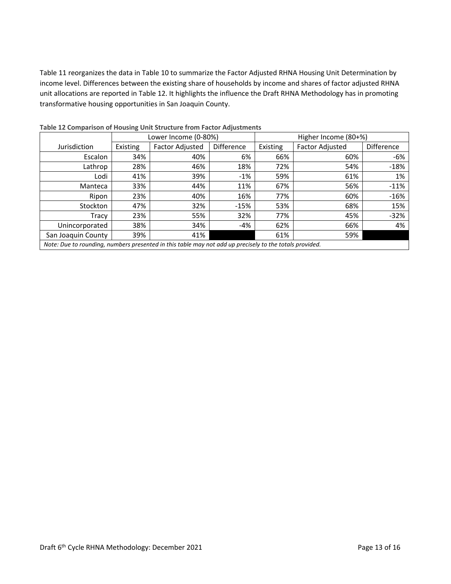Table 11 reorganizes the data in Table 10 to summarize the Factor Adjusted RHNA Housing Unit Determination by income level. Differences between the existing share of households by income and shares of factor adjusted RHNA unit allocations are reported in Table 12. It highlights the influence the Draft RHNA Methodology has in promoting transformative housing opportunities in San Joaquin County.

|                                                                                                         |          | Lower Income (0-80%)   |                   | Higher Income (80+%) |                        |            |  |
|---------------------------------------------------------------------------------------------------------|----------|------------------------|-------------------|----------------------|------------------------|------------|--|
| Jurisdiction                                                                                            | Existing | <b>Factor Adjusted</b> | <b>Difference</b> | Existing             | <b>Factor Adjusted</b> | Difference |  |
| Escalon                                                                                                 | 34%      | 40%                    | 6%                | 66%                  | 60%                    | -6%        |  |
| Lathrop                                                                                                 | 28%      | 46%                    | 18%               | 72%                  | 54%                    | $-18%$     |  |
| Lodi                                                                                                    | 41%      | 39%                    | $-1\%$            | 59%                  | 61%                    | 1%         |  |
| Manteca                                                                                                 | 33%      | 44%                    | 11%               | 67%                  | 56%                    | $-11%$     |  |
| Ripon                                                                                                   | 23%      | 40%                    | 16%               | 77%                  | 60%                    | $-16%$     |  |
| Stockton                                                                                                | 47%      | 32%                    | $-15%$            | 53%                  | 68%                    | 15%        |  |
| Tracy                                                                                                   | 23%      | 55%                    | 32%               | 77%                  | 45%                    | $-32%$     |  |
| Unincorporated                                                                                          | 38%      | 34%                    | -4%               | 62%                  | 66%                    | 4%         |  |
| San Joaquin County                                                                                      | 39%      | 41%                    |                   | 61%                  | 59%                    |            |  |
| Note: Due to rounding, numbers presented in this table may not add up precisely to the totals provided. |          |                        |                   |                      |                        |            |  |

**Table 12 Comparison of Housing Unit Structure from Factor Adjustments**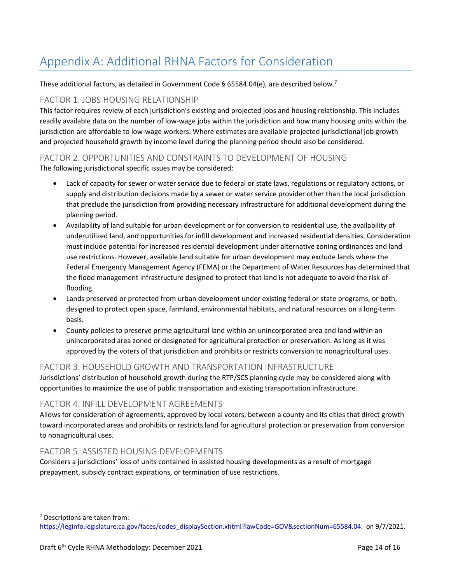# Appendix A: Additional RHNA Factors for Consideration

These additional factors, as detailed in Government Code § 65584.04(e), are described below.<sup>7</sup>

### FACTOR 1. JOBS HOUSING RELATIONSHIP

This factor requires review of each jurisdiction's existing and projected jobs and housing relationship. This includes readily available data on the number of low-wage jobs within the jurisdiction and how many housing units within the jurisdiction are affordable to low-wage workers. Where estimates are available projected jurisdictional job growth and projected household growth by income level during the planning period should also be considered.

### FACTOR 2. OPPORTUNITIES AND CONSTRAINTS TO DEVELOPMENT OF HOUSING The following jurisdictional specific issues may be considered:

- Lack of capacity for sewer or water service due to federal or state laws, regulations or regulatory actions, or supply and distribution decisions made by a sewer or water service provider other than the local jurisdiction that preclude the jurisdiction from providing necessary infrastructure for additional development during the planning period.
- Availability of land suitable for urban development or for conversion to residential use, the availability of underutilized land, and opportunities for infill development and increased residential densities. Consideration must include potential for increased residential development under alternative zoning ordinances and land use restrictions. However, available land suitable for urban development may exclude lands where the Federal Emergency Management Agency (FEMA) or the Department of Water Resources has determined that the flood management infrastructure designed to protect that land is not adequate to avoid the risk of flooding.
- Lands preserved or protected from urban development under existing federal or state programs, or both, designed to protect open space, farmland, environmental habitats, and natural resources on a long-term basis.
- County policies to preserve prime agricultural land within an unincorporated area and land within an unincorporated area zoned or designated for agricultural protection or preservation. As long as it was approved by the voters of that jurisdiction and prohibits or restricts conversion to nonagricultural uses.

### FACTOR 3. HOUSEHOLD GROWTH AND TRANSPORTATION INFRASTRUCTURE

Jurisdictions' distribution of household growth during the RTP/SCS planning cycle may be considered along with opportunities to maximize the use of public transportation and existing transportation infrastructure.

### FACTOR 4. INFILL DEVELOPMENT AGREEMENTS

Allows for consideration of agreements, approved by local voters, between a county and its cities that direct growth toward incorporated areas and prohibits or restricts land for agricultural protection or preservation from conversion to nonagricultural uses.

### FACTOR 5. ASSISTED HOUSING DEVELOPMENTS

Considers a jurisdictions' loss of units contained in assisted housing developments as a result of mortgage prepayment, subsidy contract expirations, or termination of use restrictions.

7 Descriptions are taken from:

https://leginfo.legislature.ca.gov/faces/codes\_displaySection.xhtml?lawCode=GOV&sectionNum=65584.04. on 9/7/2021.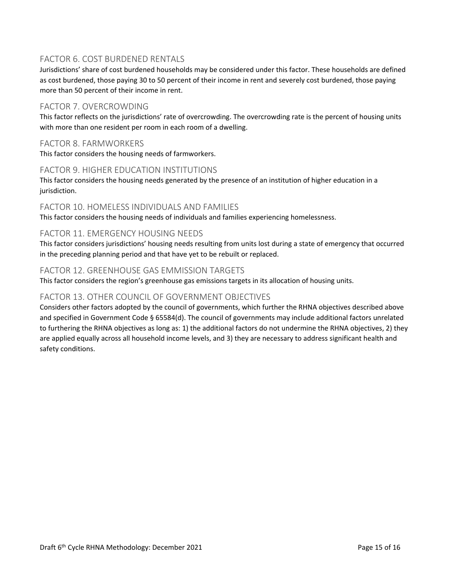### FACTOR 6. COST BURDENED RENTALS

Jurisdictions' share of cost burdened households may be considered under this factor. These households are defined as cost burdened, those paying 30 to 50 percent of their income in rent and severely cost burdened, those paying more than 50 percent of their income in rent.

### FACTOR 7. OVERCROWDING

This factor reflects on the jurisdictions' rate of overcrowding. The overcrowding rate is the percent of housing units with more than one resident per room in each room of a dwelling.

### FACTOR 8. FARMWORKERS

This factor considers the housing needs of farmworkers.

### FACTOR 9. HIGHER EDUCATION INSTITUTIONS

This factor considers the housing needs generated by the presence of an institution of higher education in a jurisdiction.

#### FACTOR 10. HOMELESS INDIVIDUALS AND FAMILIES

This factor considers the housing needs of individuals and families experiencing homelessness.

#### FACTOR 11. EMERGENCY HOUSING NEEDS

This factor considers jurisdictions' housing needs resulting from units lost during a state of emergency that occurred in the preceding planning period and that have yet to be rebuilt or replaced.

#### FACTOR 12. GREENHOUSE GAS EMMISSION TARGETS

This factor considers the region's greenhouse gas emissions targets in its allocation of housing units.

### FACTOR 13. OTHER COUNCIL OF GOVERNMENT OBJECTIVES

Considers other factors adopted by the council of governments, which further the RHNA objectives described above and specified in Government Code § 65584(d). The council of governments may include additional factors unrelated to furthering the RHNA objectives as long as: 1) the additional factors do not undermine the RHNA objectives, 2) they are applied equally across all household income levels, and 3) they are necessary to address significant health and safety conditions.